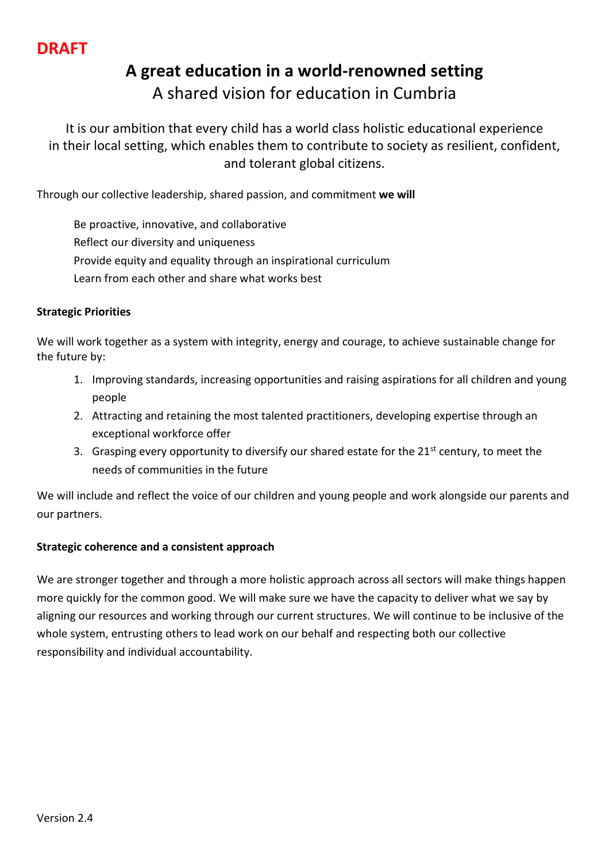# **A great education in a world-renowned setting** A shared vision for education in Cumbria

It is our ambition that every child has a world class holistic educational experience in their local setting, which enables them to contribute to society as resilient, confident, and tolerant global citizens.

Through our collective leadership, shared passion, and commitment **we will**

Be proactive, innovative, and collaborative Reflect our diversity and uniqueness Provide equity and equality through an inspirational curriculum Learn from each other and share what works best

## **Strategic Priorities**

We will work together as a system with integrity, energy and courage, to achieve sustainable change for the future by:

- 1. Improving standards, increasing opportunities and raising aspirations for all children and young people
- 2. Attracting and retaining the most talented practitioners, developing expertise through an exceptional workforce offer
- 3. Grasping every opportunity to diversify our shared estate for the 21<sup>st</sup> century, to meet the needs of communities in the future

We will include and reflect the voice of our children and young people and work alongside our parents and our partners.

# **Strategic coherence and a consistent approach**

We are stronger together and through a more holistic approach across all sectors will make things happen more quickly for the common good. We will make sure we have the capacity to deliver what we say by aligning our resources and working through our current structures. We will continue to be inclusive of the whole system, entrusting others to lead work on our behalf and respecting both our collective responsibility and individual accountability.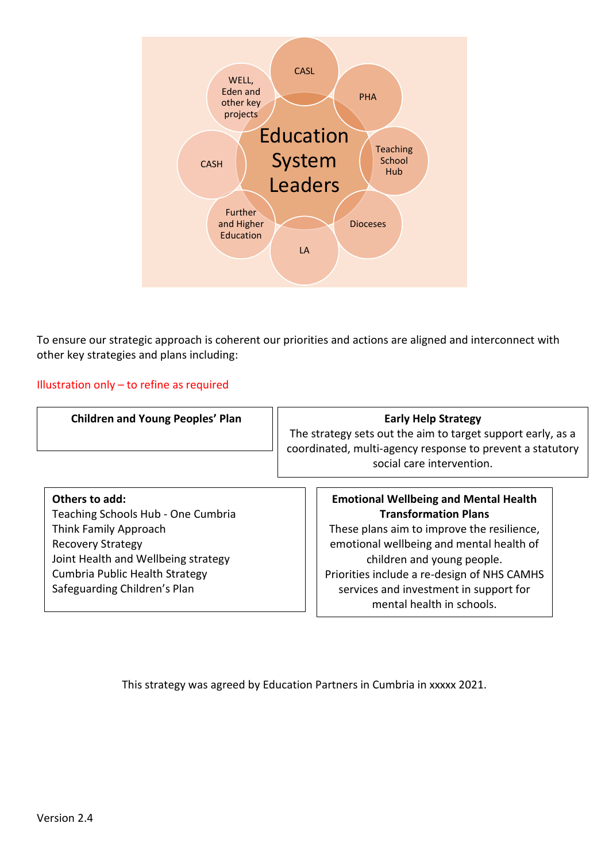

To ensure our strategic approach is coherent our priorities and actions are aligned and interconnect with other key strategies and plans including:

Illustration only – to refine as required

Joint Health and Wellbeing strategy Cumbria Public Health Strategy Safeguarding Children's Plan

| <b>Children and Young Peoples' Plan</b> | <b>Early Help Strategy</b><br>The strategy sets out the aim to target support early, as a<br>coordinated, multi-agency response to prevent a statutory<br>social care intervention. |  |  |  |
|-----------------------------------------|-------------------------------------------------------------------------------------------------------------------------------------------------------------------------------------|--|--|--|
| Others to add:                          | <b>Emotional Wellbeing and Mental Health</b>                                                                                                                                        |  |  |  |
| Teaching Schools Hub - One Cumbria      | <b>Transformation Plans</b>                                                                                                                                                         |  |  |  |
| Think Family Approach                   | These plans aim to improve the resilience,                                                                                                                                          |  |  |  |
| <b>Recovery Strategy</b>                | emotional wellbeing and mental health of                                                                                                                                            |  |  |  |

emotional wellbeing and mental health of children and young people. Priorities include a re-design of NHS CAMHS services and investment in support for mental health in schools.

This strategy was agreed by Education Partners in Cumbria in xxxxx 2021.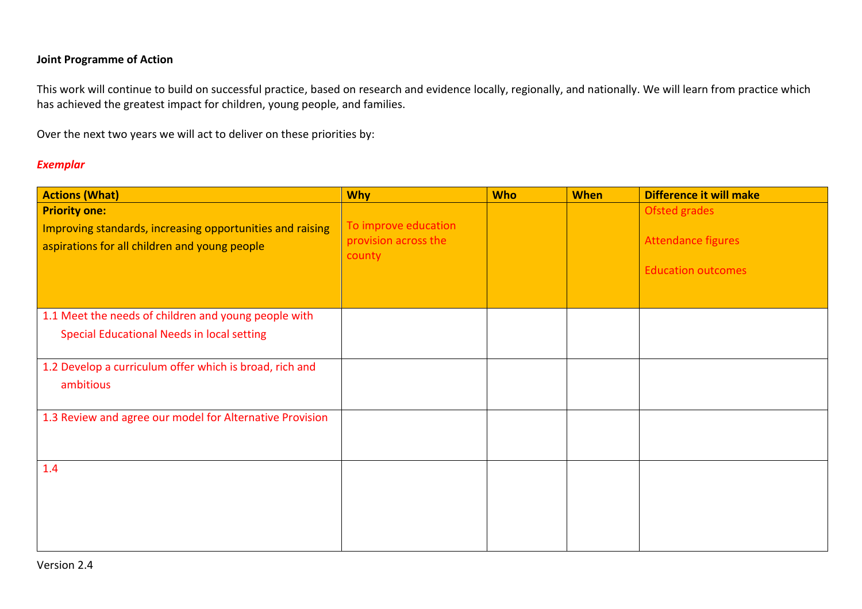### **Joint Programme of Action**

This work will continue to build on successful practice, based on research and evidence locally, regionally, and nationally. We will learn from practice which has achieved the greatest impact for children, young people, and families.

Over the next two years we will act to deliver on these priorities by:

#### *Exemplar*

| <b>Actions (What)</b>                                                                                                              | <b>Why</b>                                             | <b>Who</b> | <b>When</b> | Difference it will make                                                 |
|------------------------------------------------------------------------------------------------------------------------------------|--------------------------------------------------------|------------|-------------|-------------------------------------------------------------------------|
| <b>Priority one:</b><br>Improving standards, increasing opportunities and raising<br>aspirations for all children and young people | To improve education<br>provision across the<br>county |            |             | <b>Ofsted grades</b><br>Attendance figures<br><b>Education outcomes</b> |
| 1.1 Meet the needs of children and young people with<br><b>Special Educational Needs in local setting</b>                          |                                                        |            |             |                                                                         |
| 1.2 Develop a curriculum offer which is broad, rich and<br>ambitious                                                               |                                                        |            |             |                                                                         |
| 1.3 Review and agree our model for Alternative Provision                                                                           |                                                        |            |             |                                                                         |
| 1.4                                                                                                                                |                                                        |            |             |                                                                         |